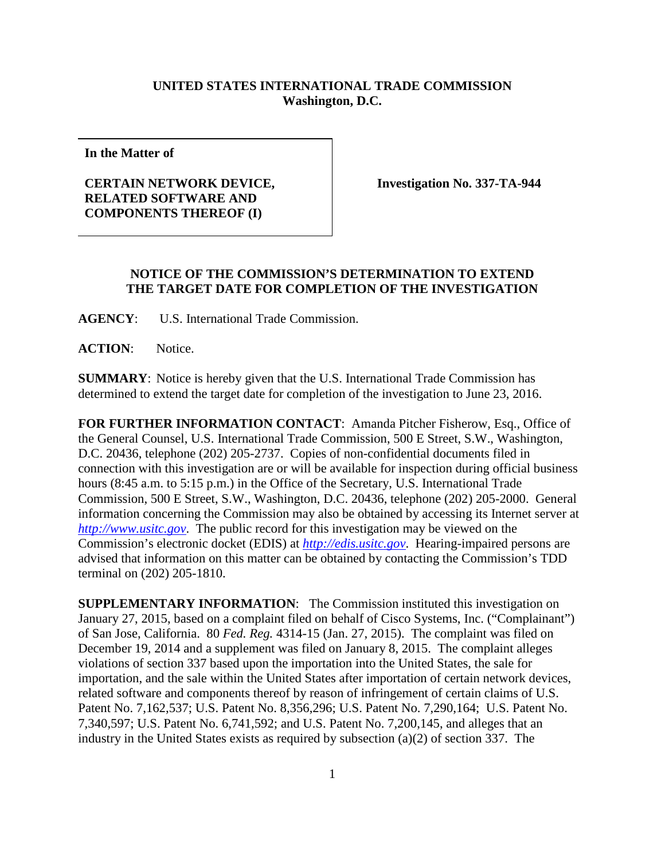## **UNITED STATES INTERNATIONAL TRADE COMMISSION Washington, D.C.**

**In the Matter of**

## **CERTAIN NETWORK DEVICE, RELATED SOFTWARE AND COMPONENTS THEREOF (I)**

**Investigation No. 337-TA-944**

## **NOTICE OF THE COMMISSION'S DETERMINATION TO EXTEND THE TARGET DATE FOR COMPLETION OF THE INVESTIGATION**

**AGENCY**: U.S. International Trade Commission.

**ACTION**: Notice.

**SUMMARY**: Notice is hereby given that the U.S. International Trade Commission has determined to extend the target date for completion of the investigation to June 23, 2016.

**FOR FURTHER INFORMATION CONTACT**: Amanda Pitcher Fisherow, Esq., Office of the General Counsel, U.S. International Trade Commission, 500 E Street, S.W., Washington, D.C. 20436, telephone (202) 205-2737. Copies of non-confidential documents filed in connection with this investigation are or will be available for inspection during official business hours (8:45 a.m. to 5:15 p.m.) in the Office of the Secretary, U.S. International Trade Commission, 500 E Street, S.W., Washington, D.C. 20436, telephone (202) 205-2000. General information concerning the Commission may also be obtained by accessing its Internet server at *[http://www.usitc.gov](http://www.usitc.gov/)*. The public record for this investigation may be viewed on the Commission's electronic docket (EDIS) at *[http://edis.usitc.gov](http://edis.usitc.gov/)*. Hearing-impaired persons are advised that information on this matter can be obtained by contacting the Commission's TDD terminal on (202) 205-1810.

**SUPPLEMENTARY INFORMATION:** The Commission instituted this investigation on January 27, 2015, based on a complaint filed on behalf of Cisco Systems, Inc. ("Complainant") of San Jose, California. 80 *Fed. Reg.* 4314-15 (Jan. 27, 2015). The complaint was filed on December 19, 2014 and a supplement was filed on January 8, 2015. The complaint alleges violations of section 337 based upon the importation into the United States, the sale for importation, and the sale within the United States after importation of certain network devices, related software and components thereof by reason of infringement of certain claims of U.S. Patent No. 7,162,537; U.S. Patent No. 8,356,296; U.S. Patent No. 7,290,164; U.S. Patent No. 7,340,597; U.S. Patent No. 6,741,592; and U.S. Patent No. 7,200,145, and alleges that an industry in the United States exists as required by subsection (a)(2) of section 337. The